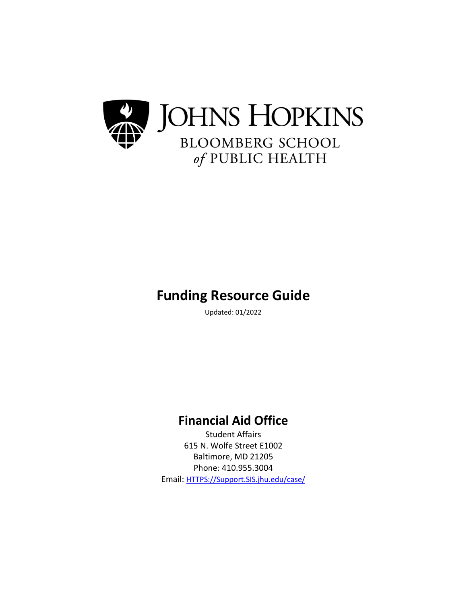

# **Funding Resource Guide**

Updated: 01/2022

# **Financial Aid Office**

Student Affairs 615 N. Wolfe Street E1002 Baltimore, MD 21205 Phone: 410.955.3004 Email: [HTTPS://Support.SIS.jhu.edu/case/](https://support.sis.jhu.edu/case/)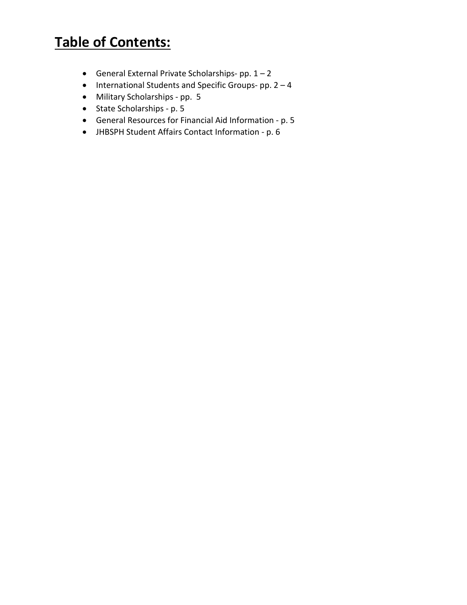# **Table of Contents:**

- General External Private Scholarships- pp.  $1 2$
- International Students and Specific Groups- pp. 2 4
- Military Scholarships pp. 5
- State Scholarships p. 5
- General Resources for Financial Aid Information p. 5
- JHBSPH Student Affairs Contact Information p. 6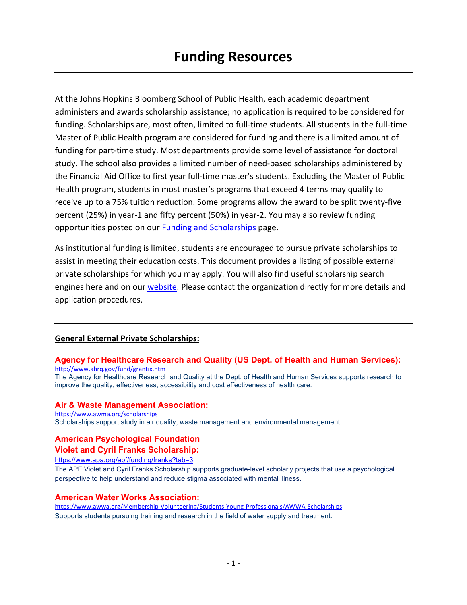At the Johns Hopkins Bloomberg School of Public Health, each academic department administers and awards scholarship assistance; no application is required to be considered for funding. Scholarships are, most often, limited to full-time students. All students in the full-time Master of Public Health program are considered for funding and there is a limited amount of funding for part-time study. Most departments provide some level of assistance for doctoral study. The school also provides a limited number of need-based scholarships administered by the Financial Aid Office to first year full-time master's students. Excluding the Master of Public Health program, students in most master's programs that exceed 4 terms may qualify to receive up to a 75% tuition reduction. Some programs allow the award to be split twenty-five percent (25%) in year-1 and fifty percent (50%) in year-2. You may also review funding opportunities posted on our [Funding and](https://publichealth.jhu.edu/offices-and-services/office-of-admissions-services/funding-and-scholarships) Scholarships page.

As institutional funding is limited, students are encouraged to pursue private scholarships to assist in meeting their education costs. This document provides a listing of possible external private scholarships for which you may apply. You will also find useful scholarship search engines here and on our [website.](http://www.jhsph.edu/offices-and-services/student-affairs/financial-aid/forms-and-resources/) Please contact the organization directly for more details and application procedures.

# **General External Private Scholarships:**

#### **[Agency for Healthcare Research and Quality \(US Dept. of Health and Human Services\):](http://www.students.gov/STUGOVWebApp/Public?operation=visit&siteID=294)** <http://www.ahrq.gov/fund/grantix.htm>

The Agency for Healthcare Research and Quality at the Dept. of Health and Human Services supports research to improve the quality, effectiveness, accessibility and cost effectiveness of health care.

#### **Air & Waste Management Association:**

<https://www.awma.org/scholarships> Scholarships support study in air quality, waste management and environmental management.

# **American Psychological Foundation**

#### **Violet and Cyril Franks Scholarship:**

<https://www.apa.org/apf/funding/franks?tab=3>

The APF Violet and Cyril Franks Scholarship supports graduate-level scholarly projects that use a psychological perspective to help understand and reduce stigma associated with mental illness.

# **American Water Works Association:**

<https://www.awwa.org/Membership-Volunteering/Students-Young-Professionals/AWWA-Scholarships> Supports students pursuing training and research in the field of water supply and treatment.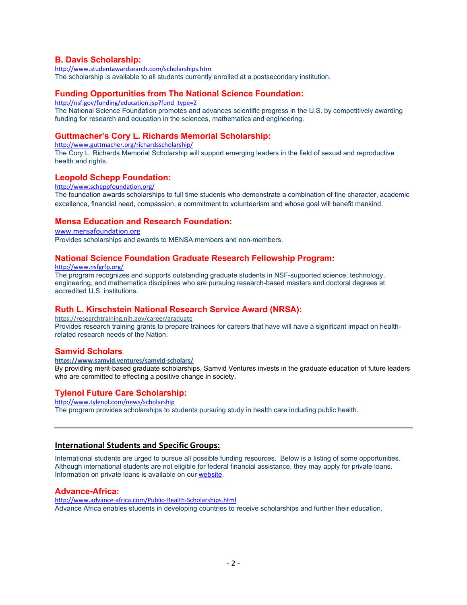## **B. Davis Scholarship:**

<http://www.studentawardsearch.com/scholarships.htm> The scholarship is available to all students currently enrolled at a postsecondary institution.

# **[Funding Opportunities from The National Science Foundation:](http://www.students.gov/STUGOVWebApp/Public?operation=visit&siteID=17)**

[http://nsf.gov/funding/education.jsp?fund\\_type=2](http://nsf.gov/funding/education.jsp?fund_type=2)

The National Science Foundation promotes and advances scientific progress in the U.S. by competitively awarding funding for research and education in the sciences, mathematics and engineering.

# **Guttmacher's Cory L. Richards Memorial Scholarship:**

<http://www.guttmacher.org/richardsscholarship/> The Cory L. Richards Memorial Scholarship will support emerging leaders in the field of sexual and reproductive health and rights.

#### **Leopold Schepp Foundation:**

<http://www.scheppfoundation.org/> The foundation awards scholarships to full time students who demonstrate a combination of fine character, academic excellence, financial need, compassion, a commitment to volunteerism and whose goal will benefit mankind.

# **Mensa Education and Research Foundation:**

#### [www.mensafoundation.org](http://www.mensafoundation.org/)

Provides scholarships and awards to MENSA members and non-members.

#### **National Science Foundation Graduate Research Fellowship Program:**

<http://www.nsfgrfp.org/>

The program recognizes and supports outstanding graduate students in NSF-supported science, technology, engineering, and mathematics disciplines who are pursuing research-based masters and doctoral degrees at accredited U.S. institutions.

#### **Ruth L. Kirschstein National Research Service Award (NRSA):**

https://researchtraining.nih.gov/career/graduate

Provides research training grants to prepare trainees for careers that have will have a significant impact on healthrelated research needs of the Nation.

#### **Samvid Scholars**

**https://www.samvid.ventures/samvid-scholars/**

By providing merit-based graduate scholarships, Samvid Ventures invests in the graduate education of future leaders who are committed to effecting a positive change in society.

#### **Tylenol Future Care Scholarship:**

<http://www.tylenol.com/news/scholarship>

The program provides scholarships to students pursuing study in health care including public health.

#### **International Students and Specific Groups:**

International students are urged to pursue all possible funding resources. Below is a listing of some opportunities. Although international students are not eligible for federal financial assistance, they may apply for private loans. Information on private loans is available on ou[r website.](http://www.jhsph.edu/offices-and-services/student-affairs/financial-aid/private-loans/)

## **Advance-Africa:**

<http://www.advance-africa.com/Public-Health-Scholarships.html> Advance Africa enables students in developing countries to receive scholarships and further their education.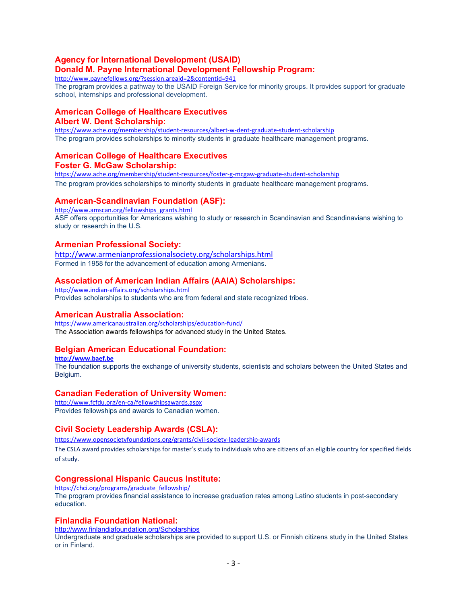# **Agency for International Development (USAID) Donald M. Payne International Development Fellowship Program:**

<http://www.paynefellows.org/?session.areaid=2&contentid=941>

The program provides a pathway to the USAID Foreign Service for minority groups. It provides support for graduate school, internships and professional development.

## **American College of Healthcare Executives Albert W. Dent Scholarship:**

<https://www.ache.org/membership/student-resources/albert-w-dent-graduate-student-scholarship> The program provides scholarships to minority students in graduate healthcare management programs.

#### **American College of Healthcare Executives Foster G. McGaw Scholarship:**

<https://www.ache.org/membership/student-resources/foster-g-mcgaw-graduate-student-scholarship>

The program provides scholarships to minority students in graduate healthcare management programs.

# **American-Scandinavian Foundation (ASF):**

[http://www.amscan.org/fellowships\\_grants.html](http://www.amscan.org/fellowships_grants.html) ASF offers opportunities for Americans wishing to study or research in Scandinavian and Scandinavians wishing to study or research in the U.S.

# **Armenian Professional Society:**

<http://www.armenianprofessionalsociety.org/scholarships.html> Formed in 1958 for the advancement of education among Armenians.

# **Association of American Indian Affairs (AAIA) Scholarships:**

<http://www.indian-affairs.org/scholarships.html> Provides scholarships to students who are from federal and state recognized tribes.

#### **American Australia Association:**

https://www.americanaustralian.org/scholarships/education-fund/ The Association awards fellowships for advanced study in the United States.

# **Belgian American Educational Foundation:**

**[http://www.baef.be](https://baef.be/graduate-study-fellowships-be/)** The foundation supports the exchange of university students, scientists and scholars between the United States and Belgium.

#### **Canadian Federation of University W[om](https://cfuw.org/fellowships-awards/)en:**

[http://www.fcfdu.org/en-ca/fellowshipsawards.aspx](https://cfuw.org/fellowships-awards/) Provides fellowships and awards to Canadian women.

#### **Civil Society Leadership Awards (CSLA):**

<https://www.opensocietyfoundations.org/grants/civil-society-leadership-awards> The CSLA award provides scholarships for master's study to individuals who are citizens of an eligible country for specified fields

of study.

#### **Congressional Hispanic Caucus Institute:**

[https://chci.org/programs/graduate\\_fellowship/](https://chci.org/programs/graduate_fellowship/) The program provides financial assistance to increase graduation rates among Latino students in post-secondary education.

#### **Finlandia Foundation National:**

<http://www.finlandiafoundation.org/Scholarships>

Undergraduate and graduate scholarships are provided to support U.S. or Finnish citizens study in the United States or in Finland.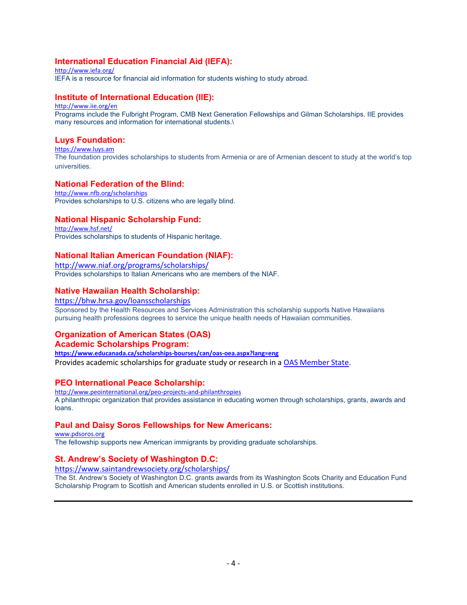# **International Education Financial Aid (IEFA):**

<http://www.iefa.org/> IEFA is a resource for financial aid information for students wishing to study abroad.

# **Institute of International Education (IIE):**

<http://www.iie.org/en> Programs include the Fulbright Program, CMB Next Generation Fellowships and Gilman Scholarships. IIE provides many resources and information for international students.\

# **Luys Foundation:**

[https://www.luys.am](https://www.luys.am/) The foundation provides scholarships to students from Armenia or are of Armenian descent to study at the world's top universities.

# **National Federation of the Blind:**

<http://www.nfb.org/scholarships> Provides scholarships to U.S. citizens who are legally blind.

# **National Hispanic Scholarship Fund:**

<http://www.hsf.net/> Provides scholarships to students of Hispanic heritage.

# **National Italian American Foundation (NIAF):**

<http://www.niaf.org/programs/scholarships/> Provides scholarships to Italian Americans who are members of the NIAF.

# **Native Hawaiian Health Scholarship:**

<https://bhw.hrsa.gov/loansscholarships>

Sponsored by the Health Resources and Services Administration this scholarship supports Native Hawaiians pursuing health professions degrees to service the unique health needs of Hawaiian communities.

# **Organization of American States (OAS)**

#### **Academic Scholarships Program:**

**https://www.educanada.ca/scholarships-bourses/can/oas-oea.aspx?lang=eng** Provides academic scholarships for graduate study or research in a [OAS Member State.](http://www.oas.org/en/member_states/default.asp)

#### **PEO International Peace Scholarship:**

<http://www.peointernational.org/peo-projects-and-philanthropies> A philanthropic organization that provides assistance in educating women through scholarships, grants, awards and loans.

#### **Paul and Daisy Soros Fellowships for New Americans:**

[www.pdsoros.org](http://www.pdsoros.org/) The fellowship supports new American immigrants by providing graduate scholarships.

# **St. Andrew's Society of Washington D.C:**

<https://www.saintandrewsociety.org/scholarships/>

The St. Andrew's Society of Washington D.C. grants awards from its Washington Scots Charity and Education Fund Scholarship Program to Scottish and American students enrolled in U.S. or Scottish institutions.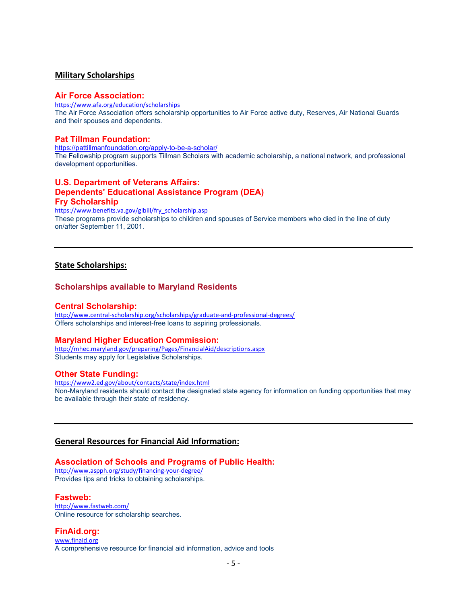#### **Military Scholarships**

#### **Air Force Association:**

<https://www.afa.org/education/scholarships> The Air Force Association offers scholarship opportunities to Air Force active duty, Reserves, Air National Guards and their spouses and dependents.

#### **Pat Tillman Foundation:**

<https://pattillmanfoundation.org/apply-to-be-a-scholar/>

The Fellowship program supports Tillman Scholars with academic scholarship, a national network, and professional development opportunities.

# **U.S. Department of Veterans Affairs: Dependents' Educational Assistance Program (DEA) Fry Scholarship**

[https://www.benefits.va.gov/gibill/fry\\_scholarship.asp](https://www.benefits.va.gov/gibill/fry_scholarship.asp) These programs provide scholarships to children and spouses of Service members who died in the line of duty on/after September 11, 2001.

#### **State Scholarships:**

#### **Scholarships available to Maryland Residents**

#### **Central Scholarship:**

<http://www.central-scholarship.org/scholarships/graduate-and-professional-degrees/> Offers scholarships and interest-free loans to aspiring professionals.

#### **Maryland Higher Education Commission:**

<http://mhec.maryland.gov/preparing/Pages/FinancialAid/descriptions.aspx> Students may apply for Legislative Scholarships.

#### **Other State Funding:**

<https://www2.ed.gov/about/contacts/state/index.html> Non-Maryland residents should contact the designated state agency for information on funding opportunities that may be available through their state of residency.

## **General Resources for Financial Aid Information:**

#### **Association of Schools and Programs of Public Health:**

<http://www.aspph.org/study/financing-your-degree/> Provides tips and tricks to obtaining scholarships.

#### **Fastweb:**

<http://www.fastweb.com/> Online resource for scholarship searches.

#### **FinAid.org:**

[www.finaid.org](http://www.finaid.org/) A comprehensive resource for financial aid information, advice and tools